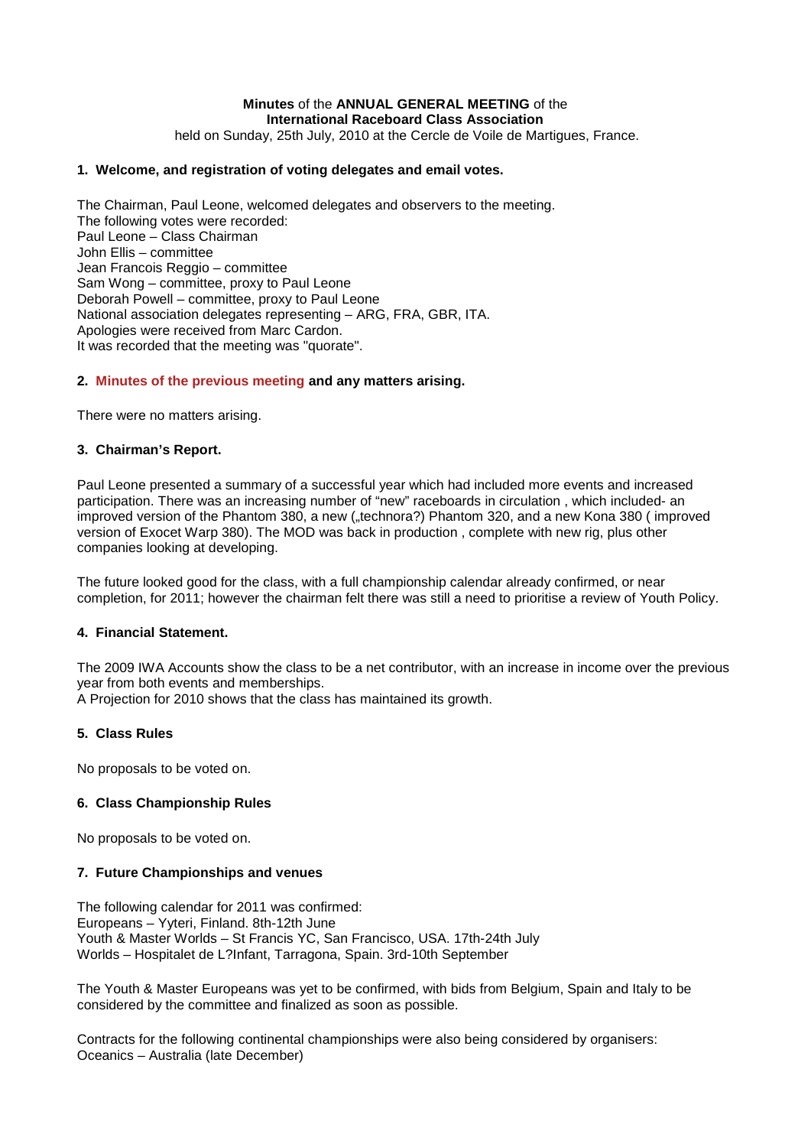#### **Minutes** of the **ANNUAL GENERAL MEETING** of the **International Raceboard Class Association**

held on Sunday, 25th July, 2010 at the Cercle de Voile de Martigues, France.

# **1. Welcome, and registration of voting delegates and email votes.**

The Chairman, Paul Leone, welcomed delegates and observers to the meeting. The following votes were recorded: Paul Leone – Class Chairman John Ellis – committee Jean Francois Reggio – committee Sam Wong – committee, proxy to Paul Leone Deborah Powell – committee, proxy to Paul Leone National association delegates representing – ARG, FRA, GBR, ITA. Apologies were received from Marc Cardon. It was recorded that the meeting was "quorate".

# **2. [Minutes of the previous meeting](http://www.raceboard.org/page0152v01.htm) and any matters arising.**

There were no matters arising.

# **3. Chairman's Report.**

Paul Leone presented a summary of a successful year which had included more events and increased participation. There was an increasing number of "new" raceboards in circulation , which included- an improved version of the Phantom 380, a new ("technora?) Phantom 320, and a new Kona 380 (improved version of Exocet Warp 380). The MOD was back in production , complete with new rig, plus other companies looking at developing.

The future looked good for the class, with a full championship calendar already confirmed, or near completion, for 2011; however the chairman felt there was still a need to prioritise a review of Youth Policy.

## **4. Financial Statement.**

The 2009 IWA Accounts show the class to be a net contributor, with an increase in income over the previous year from both events and memberships.

A Projection for 2010 shows that the class has maintained its growth.

#### **5. Class Rules**

No proposals to be voted on.

### **6. Class Championship Rules**

No proposals to be voted on.

### **7. Future Championships and venues**

The following calendar for 2011 was confirmed: Europeans – Yyteri, Finland. 8th-12th June Youth & Master Worlds – St Francis YC, San Francisco, USA. 17th-24th July Worlds – Hospitalet de L?Infant, Tarragona, Spain. 3rd-10th September

The Youth & Master Europeans was yet to be confirmed, with bids from Belgium, Spain and Italy to be considered by the committee and finalized as soon as possible.

Contracts for the following continental championships were also being considered by organisers: Oceanics – Australia (late December)